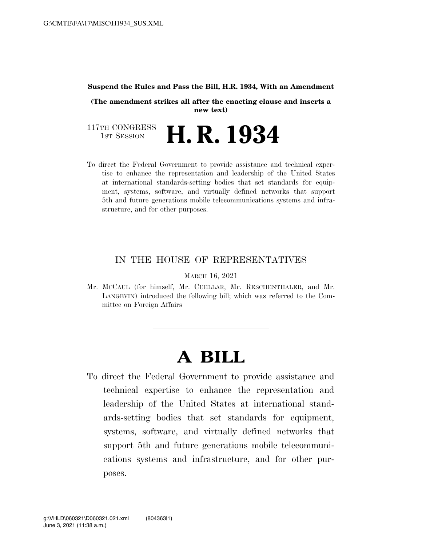#### **Suspend the Rules and Pass the Bill, H.R. 1934, With an Amendment**

**(The amendment strikes all after the enacting clause and inserts a new text)** 

117TH CONGRESS<br>1st Session H. R. 1934

To direct the Federal Government to provide assistance and technical expertise to enhance the representation and leadership of the United States at international standards-setting bodies that set standards for equipment, systems, software, and virtually defined networks that support 5th and future generations mobile telecommunications systems and infrastructure, and for other purposes.

### IN THE HOUSE OF REPRESENTATIVES

MARCH 16, 2021

Mr. MCCAUL (for himself, Mr. CUELLAR, Mr. RESCHENTHALER, and Mr. LANGEVIN) introduced the following bill; which was referred to the Committee on Foreign Affairs

# **A BILL**

To direct the Federal Government to provide assistance and technical expertise to enhance the representation and leadership of the United States at international standards-setting bodies that set standards for equipment, systems, software, and virtually defined networks that support 5th and future generations mobile telecommunications systems and infrastructure, and for other purposes.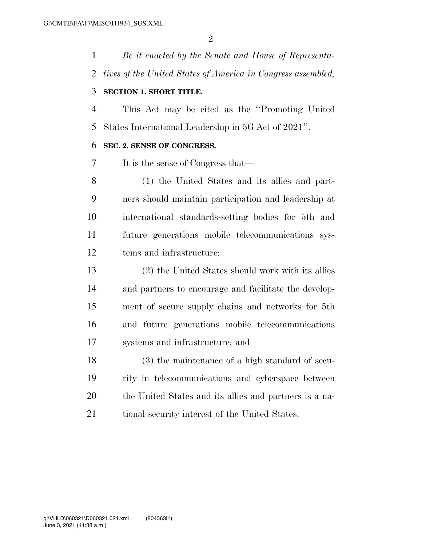*Be it enacted by the Senate and House of Representa-tives of the United States of America in Congress assembled,* 

#### **SECTION 1. SHORT TITLE.**

 This Act may be cited as the ''Promoting United States International Leadership in 5G Act of 2021''.

#### **SEC. 2. SENSE OF CONGRESS.**

It is the sense of Congress that—

 (1) the United States and its allies and part- ners should maintain participation and leadership at international standards-setting bodies for 5th and future generations mobile telecommunications sys-tems and infrastructure;

 (2) the United States should work with its allies and partners to encourage and facilitate the develop- ment of secure supply chains and networks for 5th and future generations mobile telecommunications systems and infrastructure; and

 (3) the maintenance of a high standard of secu- rity in telecommunications and cyberspace between the United States and its allies and partners is a na-21 tional security interest of the United States.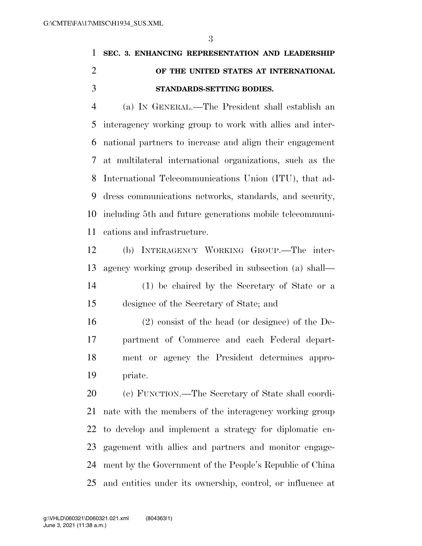## **SEC. 3. ENHANCING REPRESENTATION AND LEADERSHIP OF THE UNITED STATES AT INTERNATIONAL STANDARDS-SETTING BODIES.**

 (a) IN GENERAL.—The President shall establish an interagency working group to work with allies and inter- national partners to increase and align their engagement at multilateral international organizations, such as the International Telecommunications Union (ITU), that ad- dress communications networks, standards, and security, including 5th and future generations mobile telecommuni-cations and infrastructure.

 (b) INTERAGENCY WORKING GROUP.—The inter-agency working group described in subsection (a) shall—

 (1) be chaired by the Secretary of State or a designee of the Secretary of State; and

 (2) consist of the head (or designee) of the De- partment of Commerce and each Federal depart- ment or agency the President determines appro-priate.

 (c) FUNCTION.—The Secretary of State shall coordi- nate with the members of the interagency working group to develop and implement a strategy for diplomatic en- gagement with allies and partners and monitor engage- ment by the Government of the People's Republic of China and entities under its ownership, control, or influence at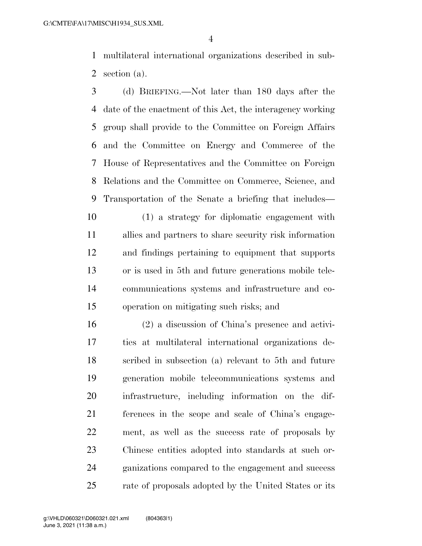multilateral international organizations described in sub-section (a).

 (d) BRIEFING.—Not later than 180 days after the date of the enactment of this Act, the interagency working group shall provide to the Committee on Foreign Affairs and the Committee on Energy and Commerce of the House of Representatives and the Committee on Foreign Relations and the Committee on Commerce, Science, and Transportation of the Senate a briefing that includes—

 (1) a strategy for diplomatic engagement with allies and partners to share security risk information and findings pertaining to equipment that supports or is used in 5th and future generations mobile tele- communications systems and infrastructure and co-operation on mitigating such risks; and

 (2) a discussion of China's presence and activi- ties at multilateral international organizations de- scribed in subsection (a) relevant to 5th and future generation mobile telecommunications systems and infrastructure, including information on the dif- ferences in the scope and scale of China's engage- ment, as well as the success rate of proposals by Chinese entities adopted into standards at such or- ganizations compared to the engagement and success 25 rate of proposals adopted by the United States or its